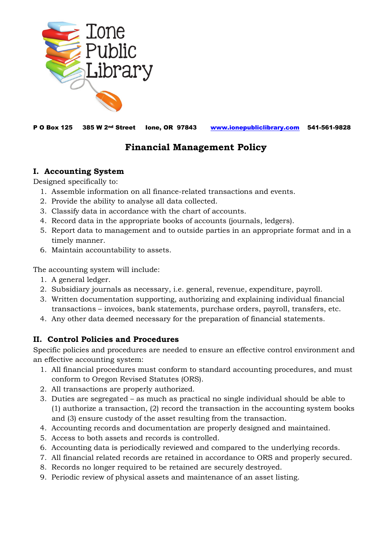

P O Box 125 385 W 2nd Street Ione, OR 97843 [www.ionepubliclibrary.com](http://www.ionepubliclibrary.com/) 541-561-9828

# **Financial Management Policy**

## **I. Accounting System**

Designed specifically to:

- 1. Assemble information on all finance-related transactions and events.
- 2. Provide the ability to analyse all data collected.
- 3. Classify data in accordance with the chart of accounts.
- 4. Record data in the appropriate books of accounts (journals, ledgers).
- 5. Report data to management and to outside parties in an appropriate format and in a timely manner.
- 6. Maintain accountability to assets.

The accounting system will include:

- 1. A general ledger.
- 2. Subsidiary journals as necessary, i.e. general, revenue, expenditure, payroll.
- 3. Written documentation supporting, authorizing and explaining individual financial transactions – invoices, bank statements, purchase orders, payroll, transfers, etc.
- 4. Any other data deemed necessary for the preparation of financial statements.

## **II. Control Policies and Procedures**

Specific policies and procedures are needed to ensure an effective control environment and an effective accounting system:

- 1. All financial procedures must conform to standard accounting procedures, and must conform to Oregon Revised Statutes (ORS).
- 2. All transactions are properly authorized.
- 3. Duties are segregated as much as practical no single individual should be able to (1) authorize a transaction, (2) record the transaction in the accounting system books and (3) ensure custody of the asset resulting from the transaction.
- 4. Accounting records and documentation are properly designed and maintained.
- 5. Access to both assets and records is controlled.
- 6. Accounting data is periodically reviewed and compared to the underlying records.
- 7. All financial related records are retained in accordance to ORS and properly secured.
- 8. Records no longer required to be retained are securely destroyed.
- 9. Periodic review of physical assets and maintenance of an asset listing.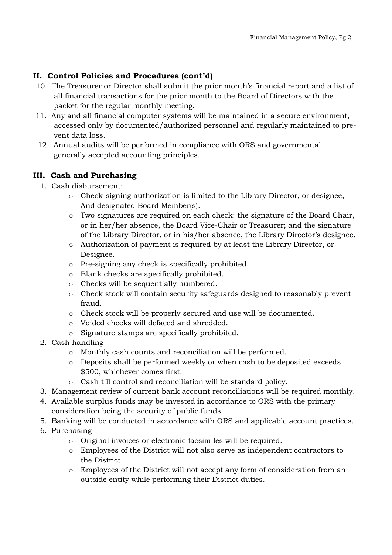## **II. Control Policies and Procedures (cont'd)**

- 10. The Treasurer or Director shall submit the prior month's financial report and a list of all financial transactions for the prior month to the Board of Directors with the packet for the regular monthly meeting.
- 11. Any and all financial computer systems will be maintained in a secure environment, accessed only by documented/authorized personnel and regularly maintained to pre vent data loss.
- 12. Annual audits will be performed in compliance with ORS and governmental generally accepted accounting principles.

#### **III. Cash and Purchasing**

- 1. Cash disbursement:
	- o Check-signing authorization is limited to the Library Director, or designee, And designated Board Member(s).
	- o Two signatures are required on each check: the signature of the Board Chair, or in her/her absence, the Board Vice-Chair or Treasurer; and the signature of the Library Director, or in his/her absence, the Library Director's designee.
	- o Authorization of payment is required by at least the Library Director, or Designee.
	- o Pre-signing any check is specifically prohibited.
	- o Blank checks are specifically prohibited.
	- o Checks will be sequentially numbered.
	- o Check stock will contain security safeguards designed to reasonably prevent fraud.
	- o Check stock will be properly secured and use will be documented.
	- o Voided checks will defaced and shredded.
	- o Signature stamps are specifically prohibited.
- 2. Cash handling
	- o Monthly cash counts and reconciliation will be performed.
	- o Deposits shall be performed weekly or when cash to be deposited exceeds \$500, whichever comes first.
	- o Cash till control and reconciliation will be standard policy.
- 3. Management review of current bank account reconciliations will be required monthly.
- 4. Available surplus funds may be invested in accordance to ORS with the primary consideration being the security of public funds.
- 5. Banking will be conducted in accordance with ORS and applicable account practices.
- 6. Purchasing
	- o Original invoices or electronic facsimiles will be required.
	- o Employees of the District will not also serve as independent contractors to the District.
	- o Employees of the District will not accept any form of consideration from an outside entity while performing their District duties.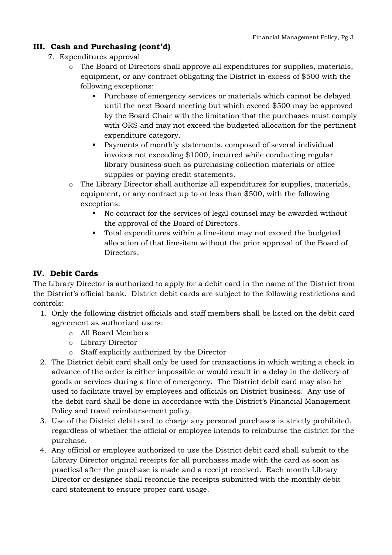## **III. Cash and Purchasing (cont'd)**

- 7. Expenditures approval
	- o The Board of Directors shall approve all expenditures for supplies, materials, equipment, or any contract obligating the District in excess of \$500 with the following exceptions:
		- Purchase of emergency services or materials which cannot be delayed until the next Board meeting but which exceed \$500 may be approved by the Board Chair with the limitation that the purchases must comply with ORS and may not exceed the budgeted allocation for the pertinent expenditure category.
		- Payments of monthly statements, composed of several individual invoices not exceeding \$1000, incurred while conducting regular library business such as purchasing collection materials or office supplies or paying credit statements.
	- o The Library Director shall authorize all expenditures for supplies, materials, equipment, or any contract up to or less than \$500, with the following exceptions:
		- No contract for the services of legal counsel may be awarded without the approval of the Board of Directors.
		- Total expenditures within a line-item may not exceed the budgeted allocation of that line-item without the prior approval of the Board of Directors.

## **IV. Debit Cards**

The Library Director is authorized to apply for a debit card in the name of the District from the District's official bank. District debit cards are subject to the following restrictions and controls:

- 1. Only the following district officials and staff members shall be listed on the debit card agreement as authorized users:
	- o All Board Members
	- o Library Director
	- o Staff explicitly authorized by the Director
- 2. The District debit card shall only be used for transactions in which writing a check in advance of the order is either impossible or would result in a delay in the delivery of goods or services during a time of emergency. The District debit card may also be used to facilitate travel by employees and officials on District business. Any use of the debit card shall be done in accordance with the District's Financial Management Policy and travel reimbursement policy.
- 3. Use of the District debit card to charge any personal purchases is strictly prohibited, regardless of whether the official or employee intends to reimburse the district for the purchase.
- 4. Any official or employee authorized to use the District debit card shall submit to the Library Director original receipts for all purchases made with the card as soon as practical after the purchase is made and a receipt received. Each month Library Director or designee shall reconcile the receipts submitted with the monthly debit card statement to ensure proper card usage.